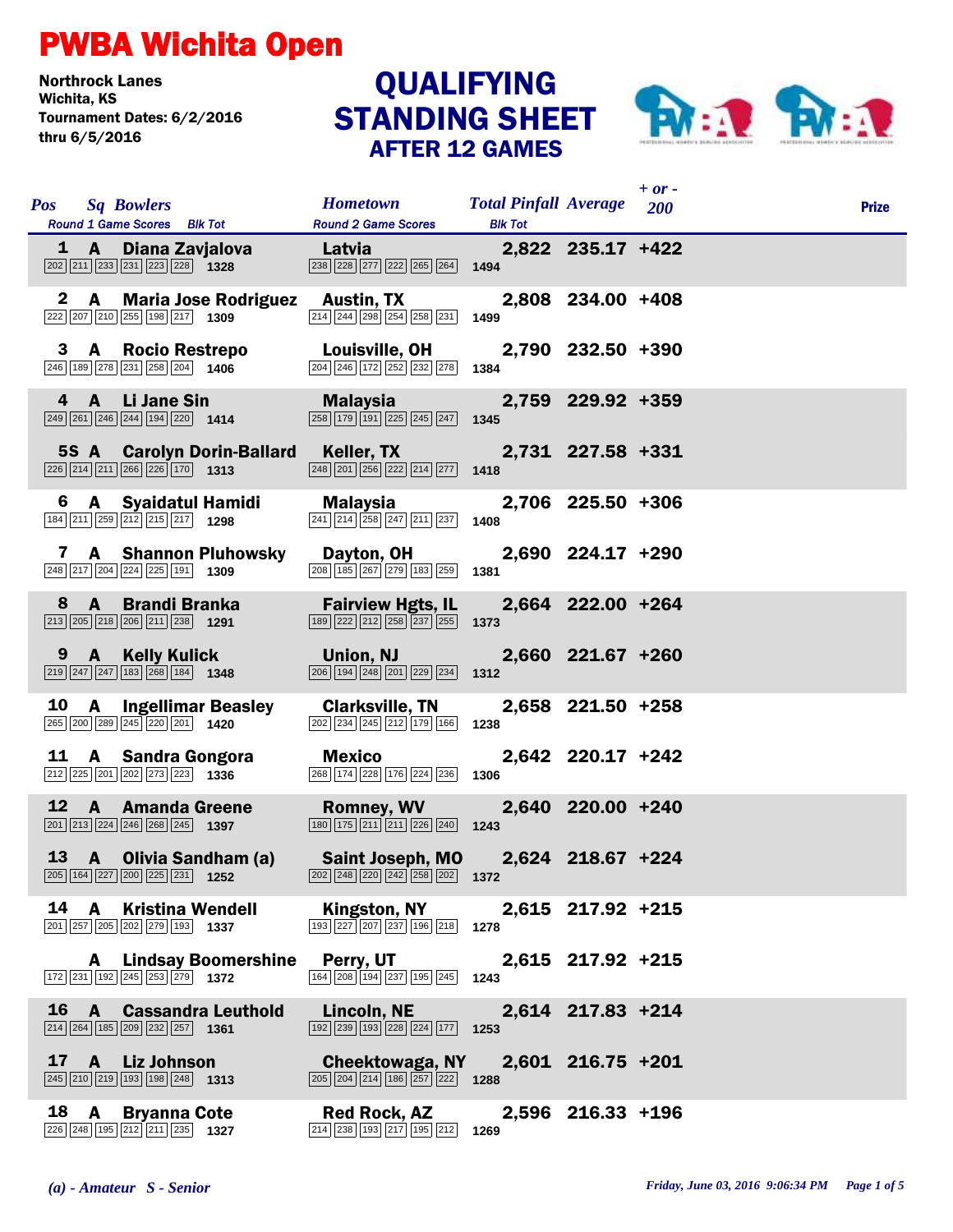## PWBA Wichita Open

Northrock Lanes Tournament Dates: 6/2/2016 thru 6/5/2016

## STANDING SHEET AFTER 12 GAMES QUALIFYING



|            |              |                                                                                                                       |                              |                                                                                                                                                         |                                                    |                   | $+$ or $-$ |              |
|------------|--------------|-----------------------------------------------------------------------------------------------------------------------|------------------------------|---------------------------------------------------------------------------------------------------------------------------------------------------------|----------------------------------------------------|-------------------|------------|--------------|
| <b>Pos</b> |              | <b>Sq Bowlers</b><br>Round 1 Game Scores Blk Tot                                                                      |                              | <b>Hometown</b><br><b>Round 2 Game Scores</b>                                                                                                           | <b>Total Pinfall Average</b> 200<br><b>Blk Tot</b> |                   |            | <b>Prize</b> |
|            |              | 1 A Diana Zavjalova<br>$\boxed{202}\boxed{211}\boxed{233}\boxed{231}\boxed{223}\boxed{228}$ 1328                      |                              | <b>Exercise Latvia</b><br>$\boxed{238}$ $\boxed{228}$ $\boxed{277}$ $\boxed{222}$ $\boxed{265}$ $\boxed{264}$ <b>1494</b>                               |                                                    | 2,822 235.17 +422 |            |              |
|            |              | $\boxed{222}\boxed{207}\boxed{210}\boxed{255}\boxed{198}\boxed{217}$ 1309                                             |                              | 2 A Maria Jose Rodriguez Austin, TX<br>214 244 298 254 258 231                                                                                          | 1499                                               | 2,808 234.00 +408 |            |              |
|            |              | 3 A Rocio Restrepo<br>$\boxed{246}$ 189 $\boxed{278}$ $\boxed{231}$ $\boxed{258}$ $\boxed{204}$ 1406                  |                              | <b>Louisville, OH</b><br>204 246 172 252 232 278                                                                                                        | 1384                                               | 2,790 232.50 +390 |            |              |
|            |              | 4 A Li Jane Sin<br>$\boxed{249}$ $\boxed{261}$ $\boxed{246}$ $\boxed{244}$ $\boxed{194}$ $\boxed{220}$ <b>1414</b>    |                              | Malaysia <b>Malaysia</b><br>$\boxed{258}$ 179 191 225 245 247 1345                                                                                      |                                                    | 2,759 229.92 +359 |            |              |
|            |              | $\boxed{226}$ $\boxed{214}$ $\boxed{211}$ $\boxed{266}$ $\boxed{226}$ $\boxed{170}$ <b>1313</b>                       |                              | 5S A Carolyn Dorin-Ballard Keller, TX<br>$\boxed{248}\boxed{201}\boxed{256}\boxed{222}\boxed{214}\boxed{277}$                                           | 1418                                               | 2,731 227.58 +331 |            |              |
|            |              | $\boxed{184}\boxed{211}\boxed{259}\boxed{212}\boxed{215}\boxed{217}$ 1298                                             |                              | 6 A Syaidatul Hamidi Malaysia<br>241 214 258 247 211 237                                                                                                | 1408                                               | 2,706 225.50 +306 |            |              |
|            |              | $\boxed{248}\boxed{217}\boxed{204}\boxed{224}\boxed{225}\boxed{191}$ 1309                                             | 7 A Shannon Pluhowsky        | Dayton, OH<br>208 185 267 279 183 259                                                                                                                   | 1381                                               | 2,690 224.17 +290 |            |              |
|            |              | 8 A Brandi Branka<br>$\boxed{213}$ $\boxed{205}$ $\boxed{218}$ $\boxed{206}$ $\boxed{211}$ $\boxed{238}$ <b>1291</b>  |                              | <b>Fairview Hgts, IL</b><br>189 222 212 258 237 255                                                                                                     | 1373                                               | 2,664 222.00 +264 |            |              |
|            |              | 9 A Kelly Kulick<br>$\boxed{219}$ $\boxed{247}$ $\boxed{247}$ $\boxed{183}$ $\boxed{268}$ $\boxed{184}$ <b>1348</b>   |                              | Union, NJ<br>$\boxed{206}$ $\boxed{194}$ $\boxed{248}$ $\boxed{201}$ $\boxed{229}$ $\boxed{234}$                                                        | 1312                                               | 2,660 221.67 +260 |            |              |
|            |              | 10 A Ingellimar Beasley<br>265 200 289 245 220 201 1420                                                               |                              | <b>Clarksville, TN</b><br>202 234 245 212 179 166                                                                                                       | 1238                                               | 2,658 221.50 +258 |            |              |
|            |              | 11 A Sandra Gongora<br>212 225 201 202 273 223 1336                                                                   |                              | <b>Mexico</b><br>268 174 228 176 224 236                                                                                                                | 1306                                               | 2,642 220.17 +242 |            |              |
|            |              | 12 A Amanda Greene<br>$\boxed{201}$ $\boxed{213}$ $\boxed{224}$ $\boxed{246}$ $\boxed{268}$ $\boxed{245}$ <b>1397</b> |                              | <b>Romney, WV</b><br>$\boxed{180}$ $\boxed{175}$ $\boxed{211}$ $\boxed{211}$ $\boxed{226}$ $\boxed{240}$ <b>1243</b>                                    |                                                    | 2,640 220.00 +240 |            |              |
|            |              | 13 A Olivia Sandham (a)<br>205 164 227 200 225 231 1252                                                               |                              | Saint Joseph, MO 2,624 218.67 +224<br>$\overline{ 202 }$ $\overline{ 248 }$ $\overline{ 220 }$ $\overline{ 242 }$ $\overline{ 258 }$ $\overline{ 202 }$ | 1372                                               |                   |            |              |
|            | 14 A         | <b>Kristina Wendell</b><br>201 257 205 202 279 193 1337                                                               |                              | Kingston, NY<br>$\boxed{193}\boxed{227}\boxed{207}\boxed{237}\boxed{196}\boxed{218}$ 1278                                                               |                                                    | 2,615 217.92 +215 |            |              |
|            |              | $\boxed{172}$ $\boxed{231}$ $\boxed{192}$ $\boxed{245}$ $\boxed{253}$ $\boxed{279}$ <b>1372</b>                       | <b>A</b> Lindsay Boomershine | Perry, UT<br>164 208 194 237 195 245                                                                                                                    | 1243                                               | 2,615 217.92 +215 |            |              |
|            | $16 \quad A$ | $\boxed{214}$ $\boxed{264}$ $\boxed{185}$ $\boxed{209}$ $\boxed{232}$ $\boxed{257}$ <b>1361</b>                       | <b>Cassandra Leuthold</b>    | Lincoln, NE<br>$\boxed{192}$ $\boxed{239}$ $\boxed{193}$ $\boxed{228}$ $\boxed{224}$ $\boxed{177}$ <b>1253</b>                                          |                                                    | 2,614 217.83 +214 |            |              |
| 17         |              | A Liz Johnson<br>$\boxed{245}$ $\boxed{210}$ $\boxed{219}$ $\boxed{193}$ $\boxed{198}$ $\boxed{248}$ <b>1313</b>      |                              | Cheektowaga, NY<br>$\boxed{205}$ $\boxed{204}$ $\boxed{214}$ $\boxed{186}$ $\boxed{257}$ $\boxed{222}$ <b>1288</b>                                      |                                                    | 2,601 216.75 +201 |            |              |
|            |              | 18 A Bryanna Cote<br>$\boxed{226}\boxed{248}\boxed{195}\boxed{212}\boxed{211}\boxed{235}$ 1327                        |                              | Red Rock, AZ<br>214 238 193 217 195 212                                                                                                                 | 1269                                               | 2,596 216.33 +196 |            |              |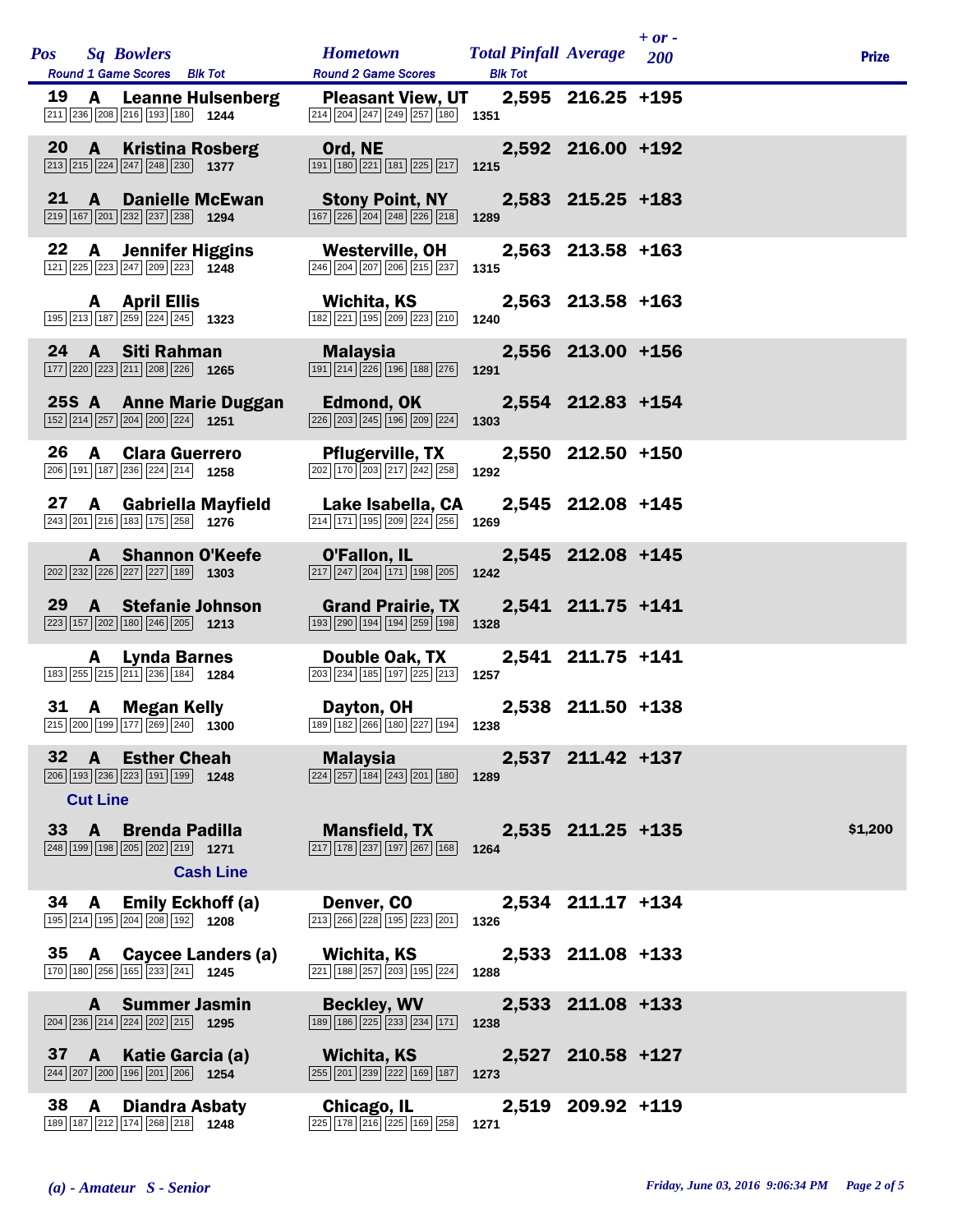| <b>Pos</b> Sq Bowlers<br>Round 1 Game Scores Blk Tot                                            |                                                                                                 | Hometown Total Pinfall Average 200<br><b>Round 2 Game Scores</b>                                                                       | <b>Blk Tot</b> |                   | $+ or -$ | <b>Prize</b> |
|-------------------------------------------------------------------------------------------------|-------------------------------------------------------------------------------------------------|----------------------------------------------------------------------------------------------------------------------------------------|----------------|-------------------|----------|--------------|
| $\boxed{211}$ $\boxed{236}$ $\boxed{208}$ $\boxed{216}$ $\boxed{193}$ $\boxed{180}$ <b>1244</b> | 19 A Leanne Hulsenberg                                                                          | Pleasant View, UT 2,595 216.25 +195<br>$\boxed{214}$ $\boxed{204}$ $\boxed{247}$ $\boxed{249}$ $\boxed{257}$ $\boxed{180}$ <b>1351</b> |                |                   |          |              |
| $\boxed{213}$ $\boxed{215}$ $\boxed{224}$ $\boxed{247}$ $\boxed{248}$ $\boxed{230}$ <b>1377</b> | 20 A Kristina Rosberg                                                                           | Ord, NE<br>$\boxed{191}$ $\boxed{180}$ $\boxed{221}$ $\boxed{181}$ $\boxed{225}$ $\boxed{217}$                                         | 1215           | 2,592 216.00 +192 |          |              |
| 21<br>$\boxed{219}$ 167 201 232 237 238 1294                                                    | <b>A</b> Danielle McEwan                                                                        | <b>Stony Point, NY</b><br>$\boxed{167}$ $\boxed{226}$ $\boxed{204}$ $\boxed{248}$ $\boxed{226}$ $\boxed{218}$                          | 1289           | 2,583 215.25 +183 |          |              |
| 22<br>$\mathbf{A}$<br>121 225 223 247 209 223 1248                                              | <b>Jennifer Higgins</b>                                                                         | Westerville, OH<br>246 204 207 206 215 237                                                                                             | 1315           | 2,563 213.58 +163 |          |              |
| A April Ellis                                                                                   | $\boxed{195}$ $\boxed{213}$ $\boxed{187}$ $\boxed{259}$ $\boxed{224}$ $\boxed{245}$ <b>1323</b> | Wichita, KS<br>182 221 195 209 223 210                                                                                                 | 1240           | 2,563 213.58 +163 |          |              |
| 24 A Siti Rahman<br>177 220 223 211 208 226 1265                                                |                                                                                                 | Malaysia<br>$\boxed{191}\ \boxed{214}\ \boxed{226}\ \boxed{196}\ \boxed{188}\ \boxed{276}$                                             | 1291           | 2,556 213.00 +156 |          |              |
| $\boxed{152}$ $\boxed{214}$ $\boxed{257}$ $\boxed{204}$ $\boxed{200}$ $\boxed{224}$ <b>1251</b> | 25S A Anne Marie Duggan                                                                         | Edmond, OK<br>$\sqrt{226}\sqrt{203}\sqrt{245}\sqrt{196}\sqrt{209}\sqrt{224}$                                                           | 1303           | 2,554 212.83 +154 |          |              |
| 26<br>A<br>206 191 187 236 224 214 1258                                                         | <b>Clara Guerrero</b>                                                                           | <b>Pflugerville, TX</b><br>202 170 203 217 242 258                                                                                     | 1292           | 2,550 212.50 +150 |          |              |
| 243 201 216 183 175 258 1276                                                                    | 27 A Gabriella Mayfield                                                                         | Lake Isabella, CA<br>214 171 195 209 224 256                                                                                           | 1269           | 2,545 212.08 +145 |          |              |
| $\boxed{202}\boxed{232}\boxed{226}\boxed{227}\boxed{227}\boxed{189}$ 1303                       | A Shannon O'Keefe                                                                               | O'Fallon, IL<br>$\boxed{217}$ $\boxed{247}$ $\boxed{204}$ $\boxed{171}$ $\boxed{198}$ $\boxed{205}$                                    | 1242           | 2,545 212.08 +145 |          |              |
| 29<br>$\boxed{223}$ 157 202 180 246 205 1213                                                    | <b>A</b> Stefanie Johnson                                                                       | <b>Grand Prairie, TX</b><br>193 290 194 194 259 198                                                                                    | 1328           | 2,541 211.75 +141 |          |              |
| A<br>183 255 215 211 236 184 1284                                                               | Lynda Barnes                                                                                    | Double Oak, TX<br>$\boxed{203}$ $\boxed{234}$ $\boxed{185}$ $\boxed{197}$ $\boxed{225}$ $\boxed{213}$                                  | 1257           | 2,541 211.75 +141 |          |              |
| 31 A Megan Kelly                                                                                | 215 200 199 177 269 240 1300                                                                    | Dayton, OH<br>189 182 266 180 227 194 1238                                                                                             |                | 2,538 211.50 +138 |          |              |
| 32 A Esther Cheah<br>$\boxed{206}$ 193 236 223 191 199 1248<br><b>Cut Line</b>                  |                                                                                                 | <b>Malaysia</b> Malaysia<br>$\boxed{224}$ $\boxed{257}$ $\boxed{184}$ $\boxed{243}$ $\boxed{201}$ $\boxed{180}$ 1289                   |                | 2,537 211.42 +137 |          |              |
| 33 A Brenda Padilla                                                                             | $\boxed{248}$ 199 198 205 202 219 1271<br><b>Cash Line</b>                                      | Mansfield, TX 2,535 211.25 +135<br>$\boxed{217}$ $\boxed{178}$ $\boxed{237}$ $\boxed{197}$ $\boxed{267}$ $\boxed{168}$                 | 1264           |                   |          | \$1,200      |
| 195 214 195 204 208 192 1208                                                                    | 34 A Emily Eckhoff (a)                                                                          | Denver, CO<br>$\boxed{213}$ $\boxed{266}$ $\boxed{228}$ $\boxed{195}$ $\boxed{223}$ $\boxed{201}$                                      | 1326           | 2,534 211.17 +134 |          |              |
| 170 180 256 165 233 241 1245                                                                    | 35 A Caycee Landers (a)                                                                         | Wichita, KS<br>221   188   257   203   195   224                                                                                       | 1288           | 2,533 211.08 +133 |          |              |
| 204 236 214 224 202 215 1295                                                                    | A Summer Jasmin                                                                                 | <b>Beckley, WV</b><br>189 186 225 233 234 171                                                                                          | 1238           | 2,533 211.08 +133 |          |              |
| 244 207 200 196 201 206 1254                                                                    | 37 A Katie Garcia (a)                                                                           | Wichita, KS<br>255 201 239 222 169 187                                                                                                 | 1273           | 2,527 210.58 +127 |          |              |
| 38<br>A<br>189 187 212 174 268 218 1248                                                         | <b>Diandra Asbaty</b>                                                                           | Chicago, IL<br>225 178 216 225 169 258                                                                                                 | 1271           | 2,519 209.92 +119 |          |              |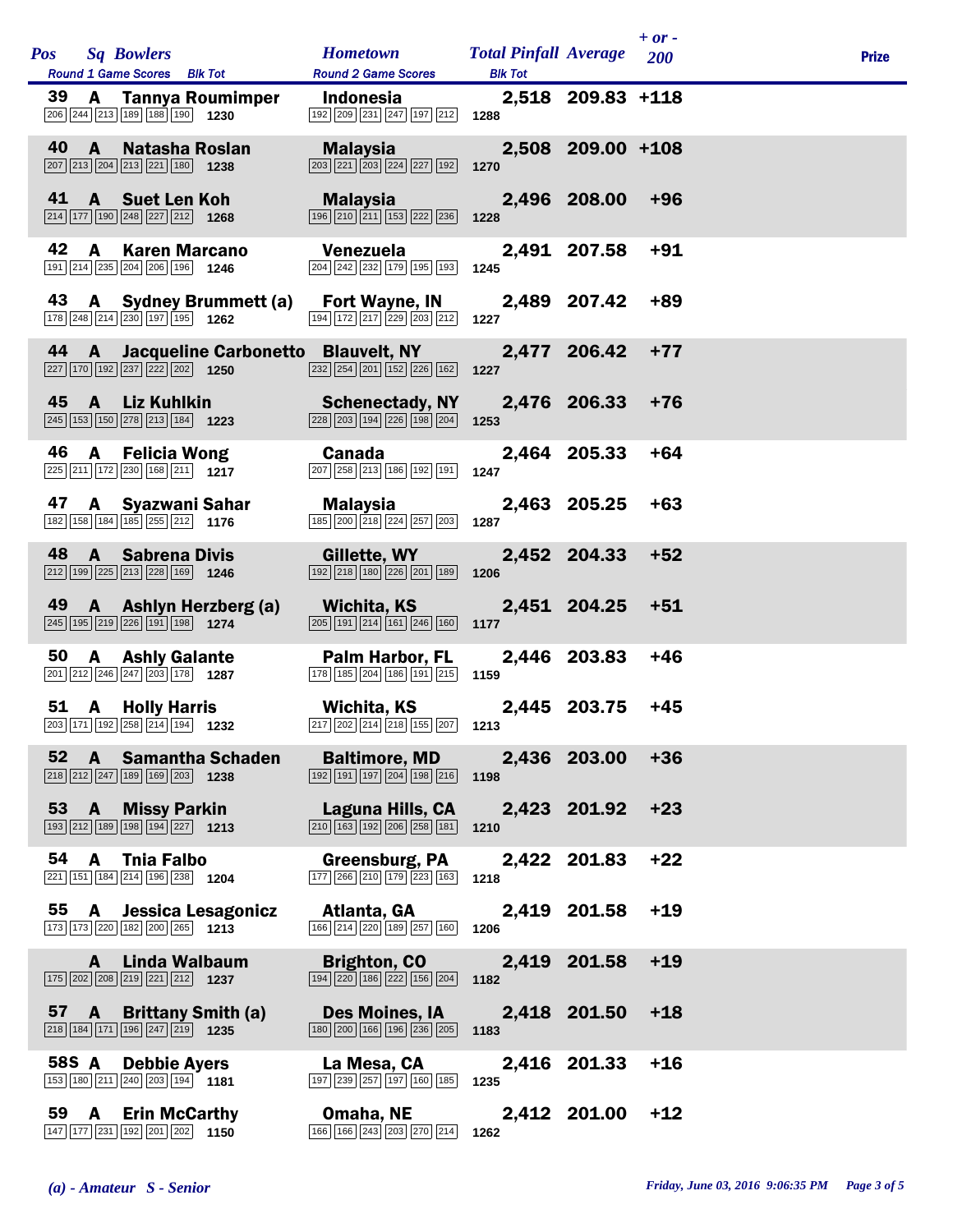|    |       | Pos Sq Bowlers<br>Round 1 Game Scores Blk Tot                                                                          |                           | <b>Hometown</b><br><b>Round 2 Game Scores</b>                                                                                                                                                                  | <b>Total Pinfall Average</b> 200<br><b>Blk Tot</b> |                   | $+$ or - | <b>Prize</b> |
|----|-------|------------------------------------------------------------------------------------------------------------------------|---------------------------|----------------------------------------------------------------------------------------------------------------------------------------------------------------------------------------------------------------|----------------------------------------------------|-------------------|----------|--------------|
| 39 |       | 206 244 213 189 188 190 1230                                                                                           | <b>A</b> Tannya Roumimper | <b>Indonesia</b><br>192 209 231 247 197 212 1288                                                                                                                                                               |                                                    | 2,518 209.83 +118 |          |              |
|    |       | 40 A Natasha Roslan<br>$\boxed{207}$ $\boxed{213}$ $\boxed{204}$ $\boxed{213}$ $\boxed{221}$ $\boxed{180}$ <b>1238</b> |                           | Malaysia and a sh<br>$\boxed{203}$ $\boxed{221}$ $\boxed{203}$ $\boxed{224}$ $\boxed{227}$ $\boxed{192}$                                                                                                       | 1270                                               | 2,508 209.00 +108 |          |              |
| 41 |       | A Suet Len Koh<br>$\boxed{214}$ 177 190 248 227 212 1268                                                               |                           | Malaysia <b>Mala</b><br>$\boxed{196}$ $\boxed{210}$ $\boxed{211}$ $\boxed{153}$ $\boxed{222}$ $\boxed{236}$                                                                                                    | 1228                                               | 2,496 208.00      | +96      |              |
| 42 | A     | <b>Karen Marcano</b><br>191 214 235 204 206 196 1246                                                                   |                           | Venezuela<br>$\boxed{204}$ $\boxed{242}$ $\boxed{232}$ $\boxed{179}$ $\boxed{195}$ $\boxed{193}$ <b>1245</b>                                                                                                   |                                                    | 2,491 207.58      | $+91$    |              |
|    |       | 178 248 214 230 197 195 1262                                                                                           | 43 A Sydney Brummett (a)  | Fort Wayne, IN<br>194 172 217 229 203 212                                                                                                                                                                      | 1227                                               | 2,489 207.42      | +89      |              |
|    |       | 227 170 192 237 222 202 1250                                                                                           |                           | 44 A Jacqueline Carbonetto Blauvelt, NY<br>$\overline{ 232   254   201   152   226   162 }$ 1227                                                                                                               |                                                    | 2,477 206.42      | $+77$    |              |
|    |       | 45 A Liz Kuhlkin<br>245 153 150 278 213 184 1223                                                                       |                           | <b>Schenectady, NY</b><br>228 203 194 226 198 204 1253                                                                                                                                                         | 2,476 206.33                                       |                   | $+76$    |              |
| 46 | A     | Felicia Wong<br>$\boxed{225}\boxed{211}\boxed{172}\boxed{230}\boxed{168}\boxed{211}$ 1217                              |                           | Canada<br>$\boxed{207}$ $\boxed{258}$ $\boxed{213}$ $\boxed{186}$ $\boxed{192}$ $\boxed{191}$ <b>1247</b>                                                                                                      |                                                    | 2,464 205.33      | $+64$    |              |
|    |       | 47 A Syazwani Sahar<br>182 158 184 185 255 212 1176                                                                    |                           | Malaysia<br>$\boxed{185}$ $\boxed{200}$ $\boxed{218}$ $\boxed{224}$ $\boxed{257}$ $\boxed{203}$ <b>1287</b>                                                                                                    |                                                    | 2,463 205.25      | $+63$    |              |
| 48 |       | <b>A</b> Sabrena Divis<br>$\boxed{212}$ 199 $\boxed{225}$ $\boxed{213}$ $\boxed{228}$ 169 1246                         |                           | <b>Gillette, WY Sillette</b><br>$\boxed{192}$ $\boxed{218}$ $\boxed{180}$ $\boxed{226}$ $\boxed{201}$ $\boxed{189}$ <b>1206</b>                                                                                |                                                    | 2,452 204.33      | $+52$    |              |
|    |       | $\boxed{245}$ 195 219 226 191 198 1274                                                                                 | 49 A Ashlyn Herzberg (a)  | Wichita, KS 2,451 204.25<br>$\boxed{205}$ 191 $\boxed{214}$ 161 $\boxed{246}$ 160 1177                                                                                                                         |                                                    |                   | $+51$    |              |
| 50 |       | <b>A</b> Ashly Galante<br>201 212 246 247 203 178 1287                                                                 |                           | Palm Harbor, FL<br>178 185 204 186 191 215 1159                                                                                                                                                                |                                                    | 2,446 203.83      | $+46$    |              |
|    |       | 51 A Holly Harris                                                                                                      |                           | Wichita, KS<br>$\boxed{203}$ $\boxed{171}$ $\boxed{192}$ $\boxed{258}$ $\boxed{214}$ $\boxed{194}$ <b>1232</b> $\boxed{217}$ $\boxed{202}$ $\boxed{214}$ $\boxed{218}$ $\boxed{155}$ $\boxed{207}$ <b>1213</b> |                                                    | 2,445 203.75      | $+45$    |              |
|    |       | $\boxed{218}\boxed{212}\boxed{247}\boxed{189}\boxed{169}\boxed{203}$ 1238                                              | 52 A Samantha Schaden     | <b>Baltimore, MD</b><br>$\boxed{192}$ $\boxed{191}$ $\boxed{197}$ $\boxed{204}$ $\boxed{198}$ $\boxed{216}$ 1198                                                                                               |                                                    | 2,436 203.00      | $+36$    |              |
|    |       | 53 A Missy Parkin<br>193 212 189 198 194 227 1213                                                                      |                           | Laguna Hills, CA<br>$\boxed{210}$ $\boxed{163}$ $\boxed{192}$ $\boxed{206}$ $\boxed{258}$ $\boxed{181}$ <b>1210</b>                                                                                            |                                                    | 2,423 201.92      | $+23$    |              |
|    |       | 54 A Tnia Falbo<br>221 151 184 214 196 238 1204                                                                        |                           | Greensburg, PA<br>$\boxed{177}$ 266 210 179 223 163 1218                                                                                                                                                       |                                                    | 2,422 201.83      | $+22$    |              |
|    | 55 A  | 173 173 220 182 200 265 1213                                                                                           | Jessica Lesagonicz        | Atlanta, GA<br>166 214 220 189 257 160                                                                                                                                                                         | 1206                                               | 2,419 201.58      | $+19$    |              |
|    |       | A Linda Walbaum<br>$\boxed{175}$ $\boxed{202}$ $\boxed{208}$ $\boxed{219}$ $\boxed{221}$ $\boxed{212}$ <b>1237</b>     |                           | <b>Brighton, CO</b><br>194 220 186 222 156 204                                                                                                                                                                 | 1182                                               | 2,419 201.58      | $+19$    |              |
|    |       | 57 A Brittany Smith (a)<br>218 184 171 196 247 219 1235                                                                |                           | <b>Des Moines, IA</b><br>180 200 166 196 236 205                                                                                                                                                               | 1183                                               | 2,418 201.50      | $+18$    |              |
|    | 58S A | <b>Debbie Ayers</b><br>153 180 211 240 203 194 1181                                                                    |                           | La Mesa, CA<br>197 239 257 197 160 185 1235                                                                                                                                                                    |                                                    | 2,416 201.33      | $+16$    |              |
|    | 59 A  | <b>Erin McCarthy</b><br>147 177 231 192 201 202 1150                                                                   |                           | Omaha, NE<br>166 166 243 203 270 214 1262                                                                                                                                                                      |                                                    | 2,412 201.00      | $+12$    |              |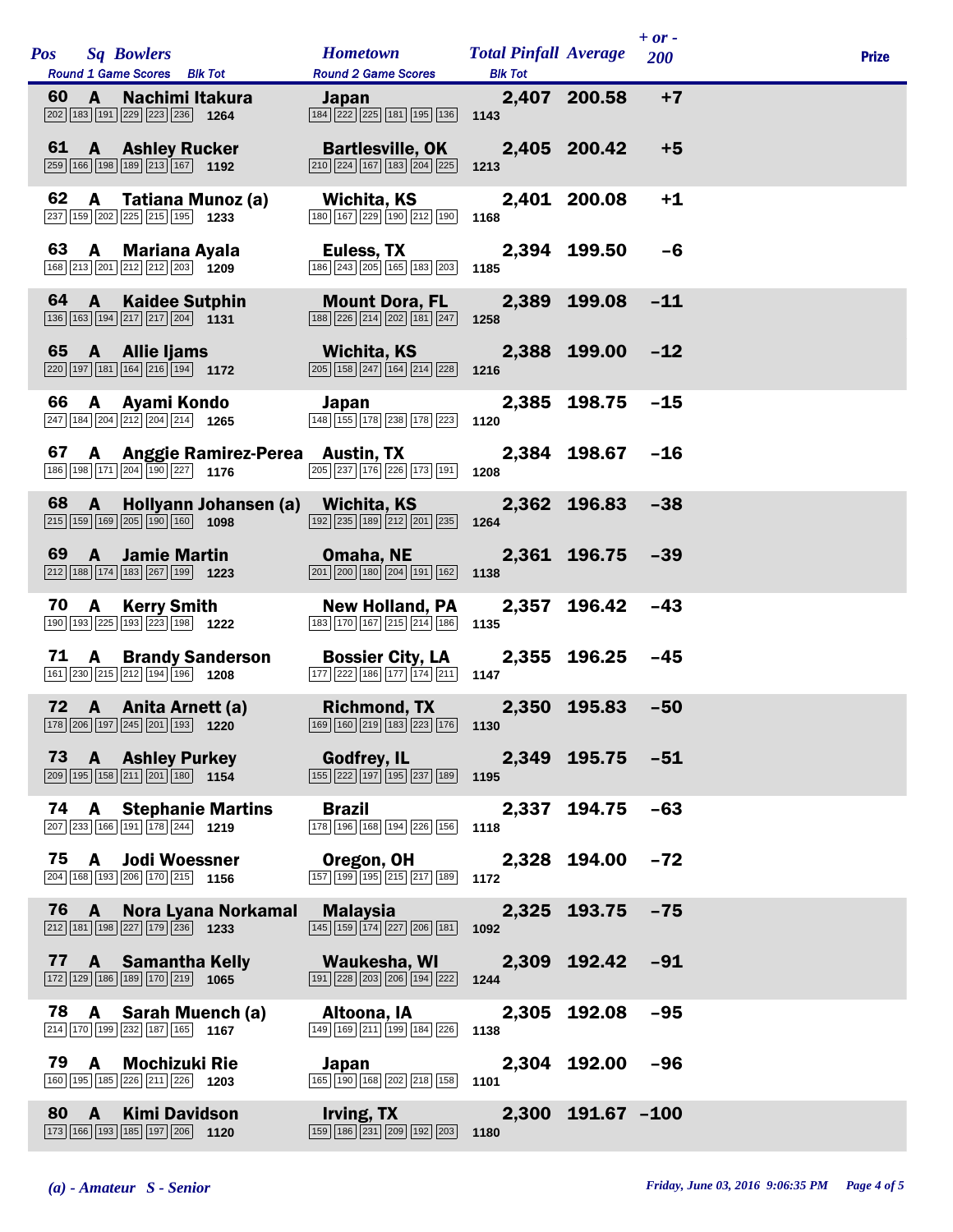|    |      |              | Pos Sq Bowlers<br>Round 1 Game Scores Blk Tot                                                                            | <b>Hometown</b><br><b>Round 2 Game Scores</b>                                                                                                                                                                                          | <b>Total Pinfall Average</b><br><b>Blk Tot</b> |                   | $+ or -$<br>200 | <b>Prize</b> |
|----|------|--------------|--------------------------------------------------------------------------------------------------------------------------|----------------------------------------------------------------------------------------------------------------------------------------------------------------------------------------------------------------------------------------|------------------------------------------------|-------------------|-----------------|--------------|
| 60 |      | $\mathbf{A}$ | Nachimi Itakura<br>202 183 191 229 223 236 1264                                                                          | <b>Japan</b> Participation of the Second Second Second Second Second Second Second Second Second Second Second Second<br>$\boxed{184}$ $\boxed{222}$ $\boxed{225}$ $\boxed{181}$ $\boxed{195}$ $\boxed{136}$ <b>1143</b>               |                                                | 2,407 200.58      | $+7$            |              |
| 61 |      |              | <b>A</b> Ashley Rucker<br>$\boxed{259}$ 166 198 189 213 167 1192                                                         | Bartlesville, OK 2,405 200.42<br>$\boxed{210}$ $\boxed{224}$ $\boxed{167}$ $\boxed{183}$ $\boxed{204}$ $\boxed{225}$                                                                                                                   | 1213                                           |                   | $+5$            |              |
| 62 |      |              | A Tatiana Munoz (a)<br>237 159 202 225 215 195 1233                                                                      | Wichita, KS<br>180 167 229 190 212 190 1168                                                                                                                                                                                            |                                                | 2,401 200.08      | $+1$            |              |
|    |      |              | 63 A Mariana Ayala<br>168 213 201 212 212 203 1209                                                                       | Euless, TX<br>186 243 205 165 183 203 185                                                                                                                                                                                              |                                                | 2,394 199.50      | -6              |              |
|    | 64 A |              | <b>Kaidee Sutphin</b><br>$\boxed{136}$ $\boxed{163}$ $\boxed{194}$ $\boxed{217}$ $\boxed{217}$ $\boxed{204}$ <b>1131</b> | <b>Mount Dora, FL</b><br>$\boxed{188}\boxed{226}\boxed{214}\boxed{202}\boxed{181}\boxed{247}$                                                                                                                                          | 1258                                           | 2,389 199.08      | $-11$           |              |
| 65 |      |              | A Allie Ijams<br>$\boxed{220}$ 197 181 164 216 194 1172                                                                  | <b>Wichita, KS</b><br>$\boxed{205}$ $\boxed{158}$ $\boxed{247}$ $\boxed{164}$ $\boxed{214}$ $\boxed{228}$                                                                                                                              | 1216                                           | 2,388 199.00 -12  |                 |              |
|    |      |              | 66 A Ayami Kondo<br>$\overline{247}$ 184 204 212 204 214 1265                                                            | Japan<br>148 155 178 238 178 223                                                                                                                                                                                                       | 1120                                           | 2,385 198.75      | $-15$           |              |
| 67 |      |              | 186 198 171 204 190 227 1176                                                                                             | A Anggie Ramirez-Perea Austin, TX<br>$\boxed{205}$ $\boxed{237}$ $\boxed{176}$ $\boxed{226}$ $\boxed{173}$ $\boxed{191}$ <b>1208</b>                                                                                                   |                                                | 2,384 198.67 -16  |                 |              |
|    | 68 A |              | $\boxed{215}$ 159 169 205 190 160 1098                                                                                   | Hollyann Johansen (a) Wichita, KS<br>$\boxed{192}$ $\boxed{235}$ $\boxed{189}$ $\boxed{212}$ $\boxed{201}$ $\boxed{235}$ <b>1264</b>                                                                                                   |                                                | 2,362 196.83      | $-38$           |              |
| 69 |      |              | <b>A</b> Jamie Martin<br>$\boxed{212}$ 188 174 183 267 199 1223                                                          | Omaha, NE 2,361 196.75 -39<br>$\boxed{201}$ $\boxed{200}$ $\boxed{180}$ $\boxed{204}$ $\boxed{191}$ $\boxed{162}$                                                                                                                      | 1138                                           |                   |                 |              |
| 70 |      |              | <b>A</b> Kerry Smith<br>190 193 225 193 223 198 1222                                                                     | <b>New Holland, PA</b><br>183 170 167 215 214 186                                                                                                                                                                                      | 1135                                           | 2,357 196.42      | $-43$           |              |
|    |      |              | 71 A Brandy Sanderson<br>$\boxed{161}$ $\boxed{230}$ $\boxed{215}$ $\boxed{212}$ $\boxed{194}$ $\boxed{196}$ 1208        | <b>Bossier City, LA</b><br>$\boxed{177}$ $\boxed{222}$ $\boxed{186}$ $\boxed{177}$ $\boxed{174}$ $\boxed{211}$ <b>1147</b>                                                                                                             |                                                | 2,355 196.25 -45  |                 |              |
|    |      |              | 72 A Anita Arnett (a)                                                                                                    | Richmond, TX 2,350 195.83 -50<br>$\boxed{178}$ $\boxed{206}$ $\boxed{197}$ $\boxed{245}$ $\boxed{201}$ $\boxed{193}$ $\boxed{1220}$ $\boxed{160}$ $\boxed{160}$ $\boxed{219}$ $\boxed{183}$ $\boxed{223}$ $\boxed{176}$ $\boxed{1130}$ |                                                |                   |                 |              |
|    |      |              | 73 A Ashley Purkey<br>$\boxed{209}$ 195 158 211 201 180 1154                                                             | Godfrey, IL 2,349 195.75 -51<br>$\boxed{155}\boxed{222}\boxed{197}\boxed{195}\boxed{237}\boxed{189}$ 1195                                                                                                                              |                                                |                   |                 |              |
|    |      |              | 74 A Stephanie Martins<br>207 233 166 191 178 244 1219                                                                   | <b>Brazil Brazil</b><br>178 196 168 194 226 156 1118                                                                                                                                                                                   |                                                | 2,337 194.75 -63  |                 |              |
|    |      |              | 75 A Jodi Woessner<br>204 168 193 206 170 215 1156                                                                       | Oregon, OH 2,328 194.00 -72<br>$\boxed{157}$ $\boxed{199}$ $\boxed{195}$ $\boxed{215}$ $\boxed{217}$ $\boxed{189}$ <b>1172</b>                                                                                                         |                                                |                   |                 |              |
|    | 76 A |              | $\boxed{212}$ 181 198 227 179 236 1233                                                                                   | Nora Lyana Norkamal Malaysia<br>$\boxed{145}$ $\boxed{159}$ $\boxed{174}$ $\boxed{227}$ $\boxed{206}$ $\boxed{181}$ <b>1092</b>                                                                                                        |                                                | 2,325 193.75 -75  |                 |              |
|    |      |              | 77 A Samantha Kelly<br>$\boxed{172}$ $\boxed{129}$ $\boxed{186}$ $\boxed{189}$ $\boxed{170}$ $\boxed{219}$ <b>1065</b>   | Waukesha, WI 2,309 192.42 -91<br>$\boxed{191}$ $\boxed{228}$ $\boxed{203}$ $\boxed{206}$ $\boxed{194}$ $\boxed{222}$ <b>1244</b>                                                                                                       |                                                |                   |                 |              |
|    |      |              | 78 A Sarah Muench (a)<br>214 170 199 232 187 165 1167                                                                    | Altoona, IA<br>149 169 211 199 184 226                                                                                                                                                                                                 | 2,305 192.08 -95<br>1138                       |                   |                 |              |
|    |      |              | 79 A Mochizuki Rie<br>160 195 185 226 211 226 1203                                                                       | Japan<br>$\boxed{165}$ $\boxed{190}$ $\boxed{168}$ $\boxed{202}$ $\boxed{218}$ $\boxed{158}$ 1101                                                                                                                                      |                                                | 2,304 192.00 -96  |                 |              |
| 80 |      | $\mathbf{A}$ | <b>Kimi Davidson</b><br>173 166 193 185 197 206 1120                                                                     | <b>Irving, TX</b><br>$\overline{159}$ 186 231 209 192 203 1180                                                                                                                                                                         |                                                | 2,300 191.67 -100 |                 |              |